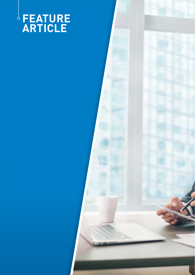# **FEATURE ARTICLE**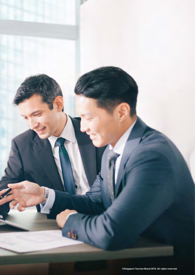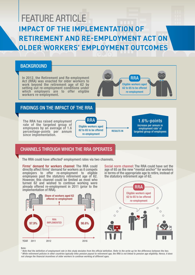## FEATURE ARTICLE **IMPACT OF THE IMPLEMENTATION OF RETIREMENT AND RE-EMPLOYMENT ACT ON OLDER WORKERS' EMPLOYMENT OUTCOMES**

#### **BACKGROUND**

In 2012, the Retirement and Re-employment Act (RRA) was enacted for older workers to work beyond the retirement age of 62 by setting out re-employment conditions under which employers are to offer eligible workers re-employment.



#### FINDINGS ON THE IMPACT OF THE RRA

The RRA has raised employment rate of the targeted group of employees by an average of 1.6 percentage-points per annum since implementation.



### 1.6%-points

increase per annum in employment rate<sup>1</sup> of targeted group of employees

### CHANNELS THROUGH WHICH THE RRA OPERATES CHANNELS THROUGH WHICH THE RRA OPERATES

The RRA could have affected<sup>2</sup> employment rates via two channels.

Firms' demand for workers channel: The RRA could directly affect firms' demand for workers as it compels employers to offer re-employment to eligible employees past the statutory retirement age of 62. However, this channel could be limited as most who turned 62 and wished to continue working were already offered re-employment in 2011 (prior to the implementation of RRA).

Social norm channel: The RRA could have set the age of 65 as the new "mental anchor" for workers in terms of the appropriate age to retire, instead of the statutory retirement age of 62.



Note:

*1 Note that the definition of employment rate in this study deviates from the official definition. Refer to the write-up for the difference between the two. 2 While retirement policies in other countries typically links pension payout to retirement age, the RRA is not linked to pension age eligibility. Hence, it does not change the financial incentives of older workers to continue working at different ages.*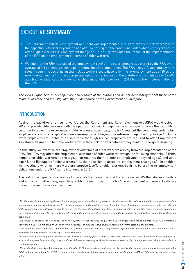## EXECUTIVE SUMMARY

- The Retirement and Re-employment Act (RRA) was implemented in 2012 to provide older workers with the opportunity to work beyond the age of 62 by setting out the conditions under which employers are to offer eligible workers re-employment till age 65. This study evaluates the impact of the implementation of the RRA on the employment outcomes of older workers.
- We find that the RRA has raised the employment rate<sup>1</sup> of the older employees covered by the RRA by an average of 1.6 percentage-points per annum since implementation. The RRA likely affected employment rates through the social norm channel, as workers could have taken the re-employment age of 65 as the new "mental anchor" on the appropriate age to retire, instead of the statutory retirement age of 62. We also find no evidence of a pre-emptive shedding of older workers in 2011 before the implementation of the RRA.

The views expressed in this paper are solely those of the authors and do not necessarily reflect those of the Ministry of Trade and Industry, Ministry of Manpower, or the Government of Singapore.<sup>2</sup>

#### INTRODUCTION

Against the backdrop of an aging workforce, the Retirement and Re-employment Act (RRA) was enacted in 20123 to provide older workers with the opportunity to work longer, while allowing employers the flexibility to continue to tap on the experience of older workers. Specifically, the RRA sets out the conditions under which employers are to offer eligible<sup>4</sup> workers re-employment beyond the retirement age of 62, up to age 65. In the event employers are unable to do so after a thorough review, employers are required to offer Employment Assistance Payment to help the workers while they look for alternative employment or undergo re-training.

In this study, we examine the employment outcomes of older workers arising from the implementation of the RRA. The RRA may affect the employment outcomes of older workers through the following channels: (i) firms' demand for older workers as the legislation requires them to offer re-employment beyond age 62 and up to age 65, and (ii) supply of older workers (i.e., their decision to accept re-employment past age 62). In addition, we investigate whether there were pre-emptive layoffs of older workers by firms before the re-employment obligations under the RRA came into force in 2012<sup>5</sup>.

The rest of the paper is organised as follows. We first present a brief literature review. We then discuss the data and empirical methodology used to quantify the net impact of the RRA on employment outcomes. Lastly, we present the results before concluding.

<sup>&</sup>lt;sup>1</sup> For the ease of communicating the results, the employment rate in this study refers to the share of workers who continued in employment out of the full sample of workers who had worked for the same employer in the past three years (note that to be eligible for re-employment under the RRA, one of the requirements is that workers have to have served the current employer for at least three years before turning 62). This is a working definition of the employment rate used for this study and differs from the official definition which refers to the proportion of employed persons in the working-age population.

<sup>&</sup>lt;sup>2</sup> We would like to thank Tan Kok Kong, Tee Koon Hui, Yong Yik Wei and Andy Feng for their useful suggestions and comments. We are also grateful to Toh Hanqing, Teo Ya Chih and Sim Li Chuan for their support and inputs to this study. All remaining errors belong to the authors.

<sup>&</sup>lt;sup>3</sup> The intention to enact RRA was announced in 2007, which stipulated that the re-employment legislation will be enacted in 2012. See Annex A for a brief timeline of retirement-related legislation in Singapore.

<sup>4</sup> Broadly, workers are eligible for re-employment if they (i) are Singapore citizens or permanent residents, (ii) have served the current employer for at least three years before turning 62 years of age, (iii) have satisfactory work performance as assessed by the employer, and (iv) are medically fit to continue working.

<sup>5</sup> Under the Retirement Age Act which was introduced in 1993, it is an offence to dismiss workers below the statutory minimum retirement age (60 in 1993, and later raised to 62 in 1999). If employers are found guilty of dismissing workers on grounds of age, MOM will take appropriate enforcement actions.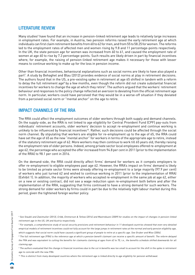#### LITERATURE REVIEW

Many studies<sup>6</sup> have found that an increase in pension-linked retirement age leads to relatively large increases in employment rates. For example, in Austria, two pension reforms raised the early retirement age at which individuals can first claim retirement benefits from 60 to 62 for men, and from 55 to 58.25 for women. The reforms led to the employment rates of affected men and women rising by 9.8 and 11 percentage-points respectively. In the UK, the state pension age for women was increased from 60 to 61, and caused the employment rate of women at age 60 to rise by 7.3 percentage-points. Such results are likely driven in part by financial incentives where, for example, the raising of pension-linked retirement age makes it necessary for those with lesser means to continue working to make up for the loss in pension income.

Other than financial incentives, behavioural explanations such as social norms are likely to have also played a part7 . A study by Behaghel and Blau (2012) provides evidence of social norms at play in retirement decisions. The authors found that in the US, a pre-existing spike in retirement at age 65 shifted in tandem with a reform to delay the full retirement age<sup>8</sup> by a few months, even though the reform did not create substantial financial incentives for workers to change the age at which they retire $^{\circ}$ . The authors argued that the workers' retirement behaviour and responses to the policy change reflected an aversion to deviating from the official retirement age norm. In particular, workers could have perceived that they would be in a worse-off situation if they deviated from a perceived social norm or "mental anchor" on the age to retire.

#### IMPACT CHANNELS OF THE RRA

The RRA could affect the employment outcomes of older workers through both supply and demand channels. On the supply-side, as the RRA is not linked to age eligibility for Central Provident Fund (CPF) pay-outs from individuals' retirement accounts, older workers' decision to accept re-employment and continue working is unlikely to be influenced by financial incentives<sup>10</sup>. Rather, such decisions could be affected through the social norm channel. By stipulating that workers are eligible for re-employment up to the age of 65, the RRA could have set the age of 65 as the new "mental anchor" for workers in terms of the appropriate age to retire, instead of the statutory retirement age of 62. More workers may then continue to work till 65 years old, thereby raising the employment rate of older persons. Indeed, among private sector local employees offered re-employment at age 62, the percentage who accepted the offer increased from 94.8 per cent in 2011 (prior to the implementation of the RRA) to 98.1 per cent in 2016.

On the demand-side, the RRA could directly affect firms' demand for workers as it compels employers to offer re-employment to eligible employees past age 62. However, the RRA's impact on firms' demand is likely to be limited as private sector firms were already offering re-employment to a large majority (97.9 per cent) of workers who just turned 62 and wished to continue working in 2011 (prior to the implementation of RRA) (Exhibit 1). In addition, the majority of workers who accepted re-employment in the same job at age 62, either on a new or existing contract, did not see a wage reduction upon re-employment both before and after the implementation of the RRA, suggesting that firms continued to have a strong demand for such workers. The strong demand for older workers by firms could in part be due to the relatively tight labour market during this period, given the tightened foreign worker policy.

<sup>6</sup> See Staubli and Zweimuller (2013), Cribb, Emmerson & Tetlow (2014) and Mastrobuoni (2009) for studies on the impact of changes in pension-linked retirement age in the US, UK and Austria respectively.

<sup>&</sup>lt;sup>7</sup> For example, a comprehensive study of social security provisions and retirement behaviour in 11 developed countries showed that even very detailed empirical models of retirement incentives could not fully account for the large jumps in retirement rates at the normal and early pension eligibility age, which suggests that social norm could have caused a significant group of people to retire at a specific age. See Gruber and Wise (2004).

<sup>&</sup>lt;sup>8</sup> The full retirement age (FRA) is the reference age at which a pension benefit claimant can receive a specific amount of benefit. The reform delayed the FRA and was equivalent to cutting the benefits for claimants claiming at ages from 62 to 70, i.e., the benefits schedule shifted downwards for all claiming age.

<sup>&</sup>lt;sup>9</sup> The authors evaluated that the change in financial incentives due to the cut in benefits was too small to account for the shift in the spike in retirement age to coincide with the new FRA.

<sup>&</sup>lt;sup>10</sup> This is distinct from many developed countries where the retirement age is linked directly to age eligibility for pension withdrawal.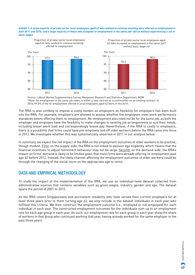#### **Exhibit 1: A large majority of private sector local employees aged 62 who wished to continue working were offered re-employment in both 2011 and 2016, and a large majority of those who accepted re-employment in the same job\* did so without experiencing a cut in basic wages**



Source: Labour Market Supplementary Survey, Manpower Research and Statistics Department, MOM \*Note: Re-employment in the same job refers to either a new contract or a continuation on an existing contract. In 2016, 99.5% of the re-employment offered to local employees aged 62 were of this form.

The RRA is also unlikely to impose a costly burden on employers as flexibility for employers has been built into the RRA. For example, employers are allowed to assess whether the employees meet work performance standards before offering them re-employment. Re-employment also need not be for the same job, as both the employer and employee have the flexibility to make changes to existing job arrangements to suit their needs, including lesser work load and correspondingly lesser pay. Nevertheless, if the RRA is costly to employers, there is a possibility that firms could have pre-emptively laid off older workers before the RRA came into force in 2012. We investigate whether this was systematically observed in 2011 in our analysis below.

In summary, we expect the net impact of the RRA on the employment outcomes of older workers to be positive, though modest. First, on the supply-side, the RRA is not linked to pension age eligibility, which means that the financial incentives to adjust retirement behaviour may not be large. Second, on the demand-side, the RRA's impact on firms' demand is likely to be limited given that most firms were already offering re-employment past age 62 before 2012. Instead, the likely channel affecting the employment outcomes of older workers could be through the changing of the social norm on the appropriate age to retire.

#### DATA AND EMPIRICAL METHODOLOGY

To study the impact of the implementation of the RRA, we use an individual-level dataset collected from administrative sources that contains variables such as gross wages, industry, gender and age. The dataset spans the period of 2001 to 2015.

As the RRA covers Singaporeans and permanent residents who have served their current employers for at least three years prior to them turning age 62, we only include in the dataset individuals in each year who fulfilled this criteria. We then construct the employment outcome (i.e., employed or not employed) for each individual in each year. The constructed employment outcomes for the individuals sum up to an employment rate for each age group in each year. As such, our employment rate for each group in each year show the share of workers in that group who continued working that year, having already worked for the same employer in the past three years.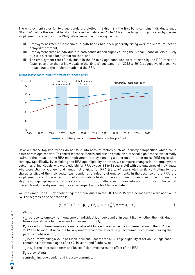The employment rates for two age bands are plotted in Exhibit 2 – the first band contains individuals aged 60 and 61, while the second band contains individuals aged 62 to 64 (i.e., the target group covered by the reemployment provisions in the RRA). We observe the following trends:

- (i) Employment rates of individuals in both bands had been generally rising over the years, reflecting delayed retirement;
- (ii) Employment rates of individuals in both bands dipped slightly during the Global Financial Crisis, likely due to a stressed labour market then; and
- (iii) The employment rate of individuals in the 62 to 64 age band who were affected by the RRA rose at a faster pace than that of individuals in the 60 to 61 age band from 2012 to 2015, suggestive of a positive impact due to the implementation of the RRA.



**Exhibit 2: Employment Rates of Workers by two Age Bands**

However, these top line trends do not take into account factors such as industry composition which could differ across age cohorts. To control for these factors and also to establish statistical significance, we formally estimate the impact of the RRA on employment rate by adopting a difference-in-differences (DID) regression strategy. Specifically, by exploiting the RRA age eligibility criterion, we compare changes in the employment outcomes of individuals who were eligible for RRA by age (62 to 64 years old) with the outcomes of individuals who were slightly younger and hence not eligible for RRA (60 to 61 years old), while controlling for the characteristics of the individuals (e.g., gender and industry of employment). In the absence of the RRA, the employment rate of the older group of individuals is likely to have continued on an upward trend. Using the slightly younger group of individuals as a control group allows us to take into account this counterfactual upward trend, thereby enabling the causal impact of the RRA to be isolated.

We implement the DID by pooling together individuals in the 2011 to 2015 time periods who were aged 60 to 64. The regression specification is:

$$
y_{\text{iat}} = \beta_1 + \beta_2 D_t + \beta_3 T_{\text{at}} + \beta_4 T_{\text{at}} \times D_t + \sum_{k=1}^{2} \beta_k \text{controls}_{\text{it}} + \epsilon_{\text{iat}} \tag{1}
$$

Where:

 $y_{i_{\text{int}}}$  represents employment outcome of individual i, of age band a, in year t (i.e., whether the individual from a specific age band was working in year t or not);

 $D_t$  is a vector of time dummies taking a value of 1 for each year since the implementation of the RRA (i.e.,  $\sim$ 2012 and beyond). It accounts for any macro-economic effects (e.g., economic fluctuations) during the periods of observation;

 $T<sub>a</sub>$  is a dummy taking a value of 1 if an individual i meets the RRA's age eligibility criterion (i.e., age band containing individuals aged 62 to 64) in year t and 0 otherwise;

 $\rm T_{\rm at}$   $\times$  D<sub>t</sub> is the interaction term and its coefficient measures the effect of the RRA;

 $\boldsymbol{\beta}_1$  is a constant;

 $controls_{it}$  include gender and industry dummies.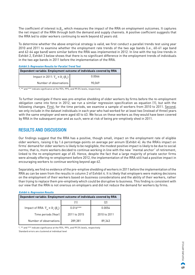The coefficient of interest is  $\beta_4$ , which measures the impact of the RRA on employment outcomes. It captures the net impact of the RRA through both the demand and supply channels. A positive coefficient suggests that the RRA led to older workers continuing to work beyond 62 years old.

To determine whether the above empirical strategy is valid, we first conduct a parallel trends test using year 2010 and 2011 to examine whether the employment rate trends of the two age bands (i.e., 60-61 age band and 62-64 age band) were similar before the RRA was implemented in 2012. In line with the top line trends in Exhibit 2, Exhibit 3 below shows that there is no significant difference in the employment trends of individuals in the two age bands in 2011 before the implementation of the RRA.

**Exhibit 3: Regression Results for Parallel Trend Test**

| Dependent variable: Employment outcome of individuals covered by RRA |        |
|----------------------------------------------------------------------|--------|
| Impact in 2011: $T_{at} \times D_{t} (\beta_{4})$                    | 0.0066 |
| Number of observations                                               | 90.069 |

\*, \*\* and \*\*\* indicate significance at the 95%, 99%, and 99.5% levels, respectively

To further investigate if there was pre-emptive shedding of older workers by firms before the re-employment obligation came into force in 2012, we run a similar regression specification as equation (1), but with the following changes. First, for the time periods, we examine a sample of workers from 2010 to 2011. Second, we only include in the dataset individuals in each year who had worked for at least two (instead of three) years with the same employer and were aged 60 to 63. We focus on these workers as they would have been covered by RRA in the subsequent year and as such, were at risk of being pre-emptively shed in 2011.

#### RESULTS AND DISCUSSION

Our findings suggest that the RRA has a positive, though small, impact on the employment rate of eligible older workers, raising it by 1.6 percentage-points on average per annum (Exhibit 4). As the RRA's impact on firms' demand for older workers is likely to be negligible, the modest positive impact is likely to be due to social norms; that is, more workers decided to continue working in line with the new "mental anchor" of retirement, linked to the re-employment age of 65. Hence, despite the fact that a large majority of private sector firms were already offering re-employment before 2012, the implementation of the RRA still had a positive impact in encouraging workers to continue working beyond age 62.

Separately, we find no evidence of the pre-emptive shedding of workers in 2011 before the implementation of the RRA as can be seen from the results in column 2 of Exhibit 4. It is likely that employers were making decisions on the employment of their workers based on business considerations and the ability of their workers, rather than trying to replace them pre-emptively which could be disruptive to business. This finding is consistent with our view that the RRA is not onerous on employers and did not reduce the demand for workers by firms.

#### **Dependent variable: Employment outcome of individuals covered by RRA**  $(1)$   $(2)$ lmpact of RRA:  $T_{at} \times D_{t}$  ( $\beta_{4}$  $0.016***$  0.0054 Time periods (Year) 2011 to 2015 2010 to 2011 Number of observations | 289,381 89,343 **Exhibit 4: Regression Results**

\*, \*\* and \*\*\* indicate significance at the 95%, 99%, and 99.5% levels, respectively Standard errors are clustered at individual level

> **49** FEATURE ARTICLE FEATURE ARTICLE ٨S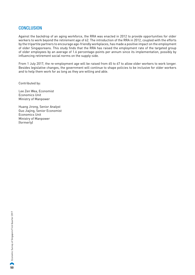#### **CONCLUSION**

Against the backdrop of an aging workforce, the RRA was enacted in 2012 to provide opportunities for older workers to work beyond the retirement age of 62. The introduction of the RRA in 2012, coupled with the efforts by the tripartite partners to encourage age-friendly workplaces, has made a positive impact on the employment of older Singaporeans. This study finds that the RRA has raised the employment rate of the targeted group of older employees by an average of 1.6 percentage-points per annum since its implementation, possibly by influencing retirement social norms on the supply-side.

From 1 July 2017, the re-employment age will be raised from 65 to 67 to allow older workers to work longer. Besides legislative changes, the government will continue to shape policies to be inclusive for older workers and to help them work for as long as they are willing and able.

Contributed by:

Lee Zen Wea, Economist Economics Unit Ministry of Manpower

Huang Jirong, Senior Analyst Guo Jiajing, Senior Economist Economics Unit Ministry of Manpower (formerly)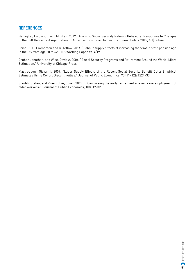#### **REFERENCES**

Behaghel, Luc, and David M. Blau. 2012. "Framing Social Security Reform: Behavioral Responses to Changes in the Full Retirement Age: Dataset." American Economic Journal: Economic Policy, 2012, 4(4): 41–67.

Cribb, J., C. Emmerson and G. Tetlow. 2014. "Labour supply effects of increasing the female state pension age in the UK from age 60 to 62." IFS Working Paper, W14/19.

Gruber, Jonathan, and Wise, David A. 2004. "Social Security Programs and Retirement Around the World: Micro Estimation." University of Chicago Press.

Mastrobuoni, Giovanni. 2009. "Labor Supply Effects of the Recent Social Security Benefit Cuts: Empirical Estimates Using Cohort Discontinuities." Journal of Public Economics, 93 (11–12): 1224–33.

Staubli, Stefan, and Zweimüller, Josef. 2013. "Does raising the early retirement age increase employment of older workers?" Journal of Public Economics, 108: 17-32.